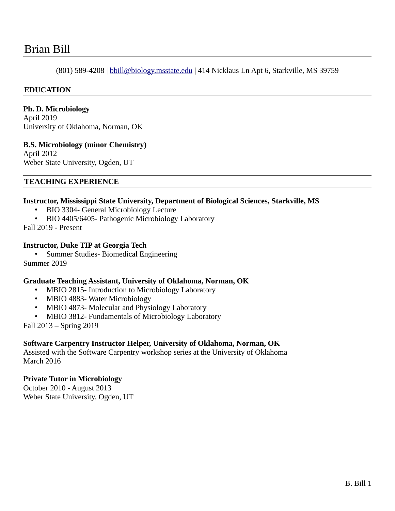# Brian Bill

(801) 589-4208 | [b bill@biology.msstate.edu](mailto:bbill@biology.msstate.edu) | 414 Nicklaus Ln Apt 6, Starkville, MS 39759

## **EDUCATION**

**Ph. D. Microbiology** April 2019

University of Oklahoma, Norman, OK

**B.S. Microbiology (minor Chemistry)** April 2012

Weber State University, Ogden, UT

#### **TEACHING EXPERIENCE**

#### **Instructor, Mississippi State University, Department of Biological Sciences, Starkville, MS**

- BIO 3304- General Microbiology Lecture
- BIO 4405/6405- Pathogenic Microbiology Laboratory

Fall 2019 - Present

#### **Instructor, Duke TIP at Georgia Tech**

• Summer Studies- Biomedical Engineering Summer 2019

#### **Graduate Teaching Assistant, University of Oklahoma, Norman, OK**

- MBIO 2815- Introduction to Microbiology Laboratory
- MBIO 4883- Water Microbiology
- MBIO 4873- Molecular and Physiology Laboratory
- MBIO 3812- Fundamentals of Microbiology Laboratory

Fall 2013 – Spring 2019

## **Software Carpentry Instructor Helper, University of Oklahoma, Norman, OK**

Assisted with the Software Carpentry workshop series at the University of Oklahoma March 2016

#### **Private Tutor in Microbiology**

October 2010 - August 2013 Weber State University, Ogden, UT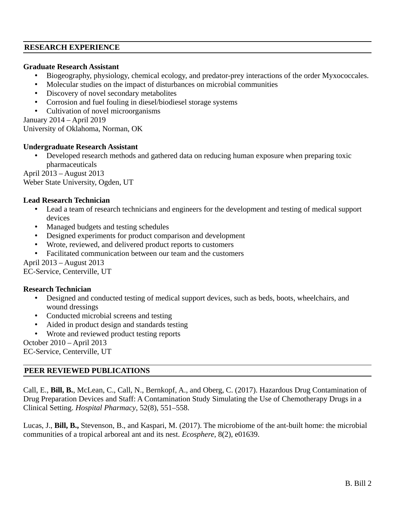#### **RESEARCH EXPERIENCE**

#### **Graduate Research Assistant**

- Biogeography, physiology, chemical ecology, and predator-prey interactions of the order Myxococcales.
- Molecular studies on the impact of disturbances on microbial communities
- Discovery of novel secondary metabolites
- Corrosion and fuel fouling in diesel/biodiesel storage systems
- Cultivation of novel microorganisms

January 2014 – April 2019

University of Oklahoma, Norman, OK

## **Undergraduate Research Assistant**

• Developed research methods and gathered data on reducing human exposure when preparing toxic pharmaceuticals

April 2013 – August 2013 Weber State University, Ogden, UT

## **Lead Research Technician**

- Lead a team of research technicians and engineers for the development and testing of medical support devices
- Managed budgets and testing schedules
- Designed experiments for product comparison and development
- Wrote, reviewed, and delivered product reports to customers
- Facilitated communication between our team and the customers

April 2013 – August 2013

EC-Service, Centerville, UT

## **Research Technician**

- Designed and conducted testing of medical support devices, such as beds, boots, wheelchairs, and wound dressings
- Conducted microbial screens and testing
- Aided in product design and standards testing
- Wrote and reviewed product testing reports

```
October 2010 – April 2013
```
EC-Service, Centerville, UT

## **PEER REVIEWED PUBLICATIONS**

Call, E., **Bill, B.**, McLean, C., Call, N., Bernkopf, A., and Oberg, C. (2017). Hazardous Drug Contamination of Drug Preparation Devices and Staff: A Contamination Study Simulating the Use of Chemotherapy Drugs in a Clinical Setting. *Hospital Pharmacy*, 52(8), 551–558.

Lucas, J., **Bill, B.,** Stevenson, B., and Kaspari, M. (2017). The microbiome of the ant-built home: the microbial communities of a tropical arboreal ant and its nest. *Ecosphere*, 8(2), e01639.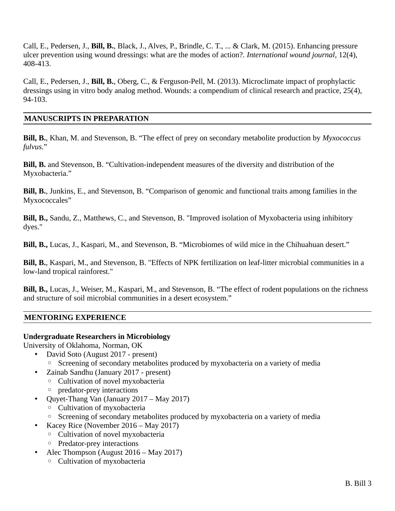Call, E., Pedersen, J., **Bill, B.**, Black, J., Alves, P., Brindle, C. T., ... & Clark, M. (2015). Enhancing pressure ulcer prevention using wound dressings: what are the modes of action?. *International wound journal*, 12(4), 408-413.

Call, E., Pedersen, J., **Bill, B.**, Oberg, C., & Ferguson-Pell, M. (2013). Microclimate impact of prophylactic dressings using in vitro body analog method. Wounds: a compendium of clinical research and practice, 25(4), 94-103.

#### **MANUSCRIPTS IN PREPARATION**

**Bill, B.**, Khan, M. and Stevenson, B. "The effect of prey on secondary metabolite production by *Myxococcus fulvus.*"

**Bill, B.** and Stevenson, B. "Cultivation-independent measures of the diversity and distribution of the Myxobacteria."

**Bill, B.**, Junkins, E., and Stevenson, B. "Comparison of genomic and functional traits among families in the Myxococcales"

**Bill, B.,** Sandu, Z., Matthews, C., and Stevenson, B. "Improved isolation of Myxobacteria using inhibitory dyes."

**Bill, B.,** Lucas, J., Kaspari, M., and Stevenson, B. "Microbiomes of wild mice in the Chihuahuan desert."

**Bill, B.**, Kaspari, M., and Stevenson, B. "Effects of NPK fertilization on leaf-litter microbial communities in a low-land tropical rainforest."

**Bill, B.,** Lucas, J., Weiser, M., Kaspari, M., and Stevenson, B. "The effect of rodent populations on the richness and structure of soil microbial communities in a desert ecosystem."

## **MENTORING EXPERIENCE**

#### **Undergraduate Researchers in Microbiology**

University of Oklahoma, Norman, OK

- David Soto (August 2017 present)
	- Screening of secondary metabolites produced by myxobacteria on a variety of media
- Zainab Sandhu (January 2017 present)
	- Cultivation of novel myxobacteria
	- predator-prey interactions
- Quyet-Thang Van (January 2017 May 2017)
	- Cultivation of myxobacteria
	- Screening of secondary metabolites produced by myxobacteria on a variety of media
- Kacey Rice (November 2016 May 2017)
	- Cultivation of novel myxobacteria
	- Predator-prey interactions
- Alec Thompson (August 2016 May 2017)
	- Cultivation of myxobacteria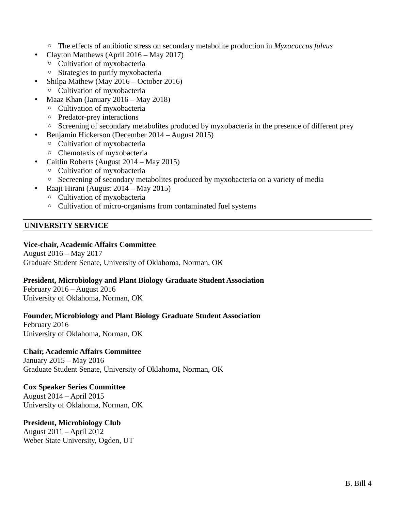- The effects of antibiotic stress on secondary metabolite production in *Myxococcus fulvus*
- Clayton Matthews (April 2016 May 2017)
	- Cultivation of myxobacteria
	- Strategies to purify myxobacteria
	- Shilpa Mathew (May 2016 October 2016)
		- Cultivation of myxobacteria
- Maaz Khan (January 2016 May 2018)
	- Cultivation of myxobacteria
	- Predator-prey interactions
	- Screening of secondary metabolites produced by myxobacteria in the presence of different prey
	- Benjamin Hickerson (December 2014 August 2015)
		- Cultivation of myxobacteria
		- Chemotaxis of myxobacteria
- Caitlin Roberts (August 2014 May 2015)
	- Cultivation of myxobacteria
	- Secreening of secondary metabolites produced by myxobacteria on a variety of media
	- Raaji Hirani (August 2014 May 2015)
	- Cultivation of myxobacteria
	- Cultivation of micro-organisms from contaminated fuel systems

# **UNIVERSITY SERVICE**

# **Vice-chair, Academic Affairs Committee**

August 2016 – May 2017 Graduate Student Senate, University of Oklahoma, Norman, OK

## **President, Microbiology and Plant Biology Graduate Student Association**

February 2016 – August 2016 University of Oklahoma, Norman, OK

## **Founder, Microbiology and Plant Biology Graduate Student Association**

February 2016 University of Oklahoma, Norman, OK

# **Chair, Academic Affairs Committee**

January 2015 – May 2016 Graduate Student Senate, University of Oklahoma, Norman, OK

# **Cox Speaker Series Committee**

August 2014 – April 2015 University of Oklahoma, Norman, OK

# **President, Microbiology Club**

August 2011 – April 2012 Weber State University, Ogden, UT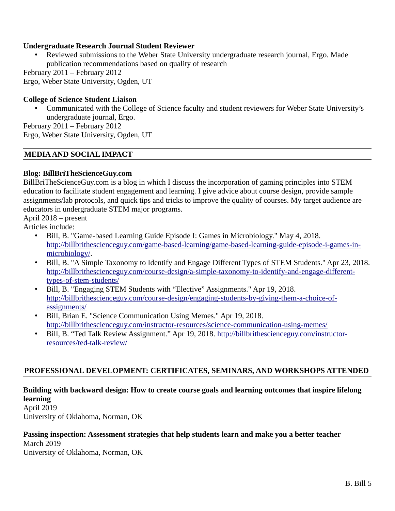## **Undergraduate Research Journal Student Reviewer**

• Reviewed submissions to the Weber State University undergraduate research journal, Ergo. Made publication recommendations based on quality of research

February 2011 – February 2012

Ergo, Weber State University, Ogden, UT

#### **College of Science Student Liaison**

• Communicated with the College of Science faculty and student reviewers for Weber State University's undergraduate journal, Ergo.

February 2011 – February 2012 Ergo, Weber State University, Ogden, UT

#### **MEDIA AND SOCIAL IMPACT**

#### **Blog: BillBriTheScienceGuy.com**

BillBriTheScienceGuy.com is a blog in which I discuss the incorporation of gaming principles into STEM education to facilitate student engagement and learning. I give advice about course design, provide sample assignments/lab protocols, and quick tips and tricks to improve the quality of courses. My target audience are educators in undergraduate STEM major programs.

April 2018 – present

Articles include:

- Bill, B. "Game-based Learning Guide Episode I: Games in Microbiology." May 4, 2018. [http://billbrithescienceguy.com/game-based-learning/game-based-learning-guide-episode-i-games-in](http://billbrithescienceguy.com/game-based-learning/game-based-learning-guide-episode-i-games-in-microbiology/)[microbiology/](http://billbrithescienceguy.com/game-based-learning/game-based-learning-guide-episode-i-games-in-microbiology/).
- Bill, B. "A Simple Taxonomy to Identify and Engage Different Types of STEM Students." Apr 23, 2018. [http://billbrithescienceguy.com/course-design/a-simple-taxonomy-to-identify-and-engage-different](http://billbrithescienceguy.com/course-design/a-simple-taxonomy-to-identify-and-engage-different-types-of-stem-students/)[types-of-stem-students/](http://billbrithescienceguy.com/course-design/a-simple-taxonomy-to-identify-and-engage-different-types-of-stem-students/)
- Bill, B. "Engaging STEM Students with "Elective" Assignments." Apr 19, 2018. [http://billbrithescienceguy.com/course-design/engaging-students-by-giving-them-a-choice-of](http://billbrithescienceguy.com/course-design/engaging-students-by-giving-them-a-choice-of-assignments/)[assignments/](http://billbrithescienceguy.com/course-design/engaging-students-by-giving-them-a-choice-of-assignments/)
- Bill, Brian E. "Science Communication Using Memes." Apr 19, 2018. <http://billbrithescienceguy.com/instructor-resources/science-communication-using-memes/>
- Bill, B. "Ted Talk Review Assignment." Apr 19, 2018. [http://billbrithescienceguy.com/instructor](http://billbrithescienceguy.com/instructor-resources/ted-talk-review/)[resources/ted-talk-review/](http://billbrithescienceguy.com/instructor-resources/ted-talk-review/)

#### **PROFESSIONAL DEVELOPMENT: CERTIFICATES, SEMINARS, AND WORKSHOPS ATTENDED**

## **Building with backward design: How to create course goals and learning outcomes that inspire lifelong learning**

April 2019

University of Oklahoma, Norman, OK

#### **Passing inspection: Assessment strategies that help students learn and make you a better teacher**

March 2019 University of Oklahoma, Norman, OK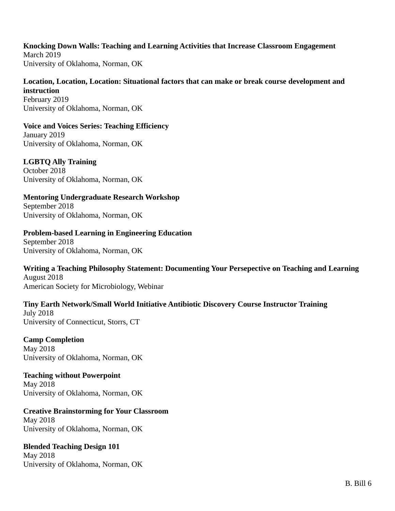#### **Knocking Down Walls: Teaching and Learning Activities that Increase Classroom Engagement**

March 2019 University of Oklahoma, Norman, OK

**Location, Location, Location: Situational factors that can make or break course development and instruction** February 2019 University of Oklahoma, Norman, OK

**Voice and Voices Series: Teaching Efficiency** January 2019 University of Oklahoma, Norman, OK

**LGBTQ Ally Training** October 2018 University of Oklahoma, Norman, OK

**Mentoring Undergraduate Research Workshop** September 2018 University of Oklahoma, Norman, OK

**Problem-based Learning in Engineering Education** September 2018 University of Oklahoma, Norman, OK

**Writing a Teaching Philosophy Statement: Documenting Your Persepective on Teaching and Learning** August 2018 American Society for Microbiology, Webinar

**Tiny Earth Network/Small World Initiative Antibiotic Discovery Course Instructor Training** July 2018 University of Connecticut, Storrs, CT

**Camp Completion** May 2018 University of Oklahoma, Norman, OK

**Teaching without Powerpoint** May 2018 University of Oklahoma, Norman, OK

**Creative Brainstorming for Your Classroom** May 2018 University of Oklahoma, Norman, OK

**Blended Teaching Design 101** May 2018 University of Oklahoma, Norman, OK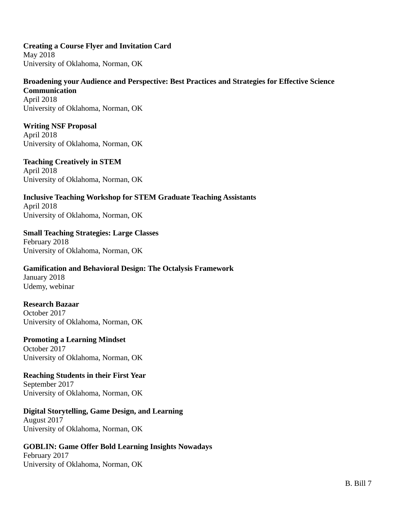**Creating a Course Flyer and Invitation Card** May 2018 University of Oklahoma, Norman, OK

**Broadening your Audience and Perspective: Best Practices and Strategies for Effective Science Communication** April 2018 University of Oklahoma, Norman, OK

**Writing NSF Proposal** April 2018 University of Oklahoma, Norman, OK

**Teaching Creatively in STEM** April 2018 University of Oklahoma, Norman, OK

**Inclusive Teaching Workshop for STEM Graduate Teaching Assistants** April 2018 University of Oklahoma, Norman, OK

**Small Teaching Strategies: Large Classes** February 2018 University of Oklahoma, Norman, OK

**Gamification and Behavioral Design: The Octalysis Framework** January 2018 Udemy, webinar

**Research Bazaar** October 2017 University of Oklahoma, Norman, OK

**Promoting a Learning Mindset** October 2017 University of Oklahoma, Norman, OK

**Reaching Students in their First Year** September 2017 University of Oklahoma, Norman, OK

**Digital Storytelling, Game Design, and Learning** August 2017 University of Oklahoma, Norman, OK

**GOBLIN: Game Offer Bold Learning Insights Nowadays** February 2017 University of Oklahoma, Norman, OK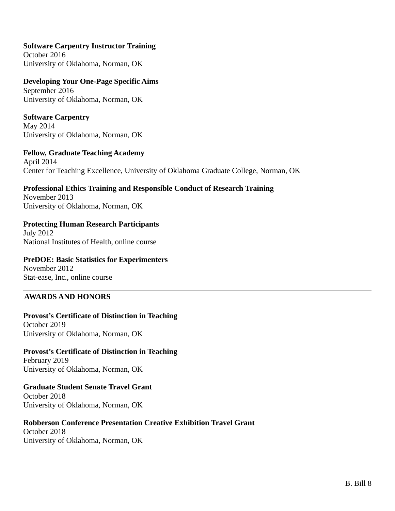## **Software Carpentry Instructor Training**

October 2016 University of Oklahoma, Norman, OK

**Developing Your One-Page Specific Aims** September 2016 University of Oklahoma, Norman, OK

**Software Carpentry** May 2014 University of Oklahoma, Norman, OK

**Fellow, Graduate Teaching Academy** April 2014 Center for Teaching Excellence, University of Oklahoma Graduate College, Norman, OK

**Professional Ethics Training and Responsible Conduct of Research Training** November 2013

University of Oklahoma, Norman, OK

# **Protecting Human Research Participants**

July 2012 National Institutes of Health, online course

## **PreDOE: Basic Statistics for Experimenters**

November 2012 Stat-ease, Inc., online course

## **AWARDS AND HONORS**

**Provost's Certificate of Distinction in Teaching** October 2019 University of Oklahoma, Norman, OK

**Provost's Certificate of Distinction in Teaching** February 2019 University of Oklahoma, Norman, OK

**Graduate Student Senate Travel Grant** October 2018 University of Oklahoma, Norman, OK

**Robberson Conference Presentation Creative Exhibition Travel Grant** October 2018 University of Oklahoma, Norman, OK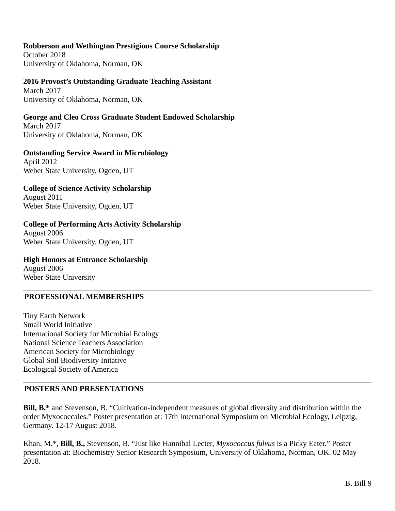## **Robberson and Wethington Prestigious Course Scholarship**

October 2018 University of Oklahoma, Norman, OK

# **2016 Provost's Outstanding Graduate Teaching Assistant**

March 2017 University of Oklahoma, Norman, OK

# **George and Cleo Cross Graduate Student Endowed Scholarship**

March 2017 University of Oklahoma, Norman, OK

# **Outstanding Service Award in Microbiology**

April 2012 Weber State University, Ogden, UT

## **College of Science Activity Scholarship**

August 2011 Weber State University, Ogden, UT

# **College of Performing Arts Activity Scholarship**

August 2006 Weber State University, Ogden, UT

#### **High Honors at Entrance Scholarship** August 2006 Weber State University

# **PROFESSIONAL MEMBERSHIPS**

Tiny Earth Network Small World Initiative International Society for Microbial Ecology National Science Teachers Association American Society for Microbiology Global Soil Biodiversity Initative Ecological Society of America

## **POSTERS AND PRESENTATIONS**

**Bill, B.\*** and Stevenson, B. "Cultivation-independent measures of global diversity and distribution within the order Myxococcales." Poster presentation at: 17th International Symposium on Microbial Ecology, Leipzig, Germany. 12-17 August 2018.

Khan, M.\*, **Bill, B.,** Stevenson, B. "Just like Hannibal Lecter, *Myxococcus fulvus* is a Picky Eater." Poster presentation at: Biochemistry Senior Research Symposium, University of Oklahoma, Norman, OK. 02 May 2018.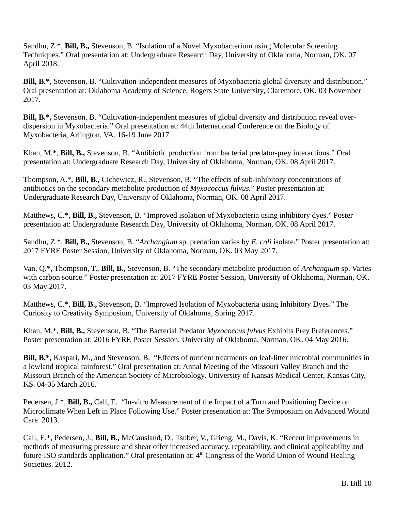Sandhu, Z.\*, **Bill, B.,** Stevenson, B. "Isolation of a Novel Myxobacterium using Molecular Screening Techniques." Oral presentation at: Undergraduate Research Day, University of Oklahoma, Norman, OK. 07 April 2018.

**Bill, B.\***, Stevenson, B. "Cultivation-independent measures of Myxobacteria global diversity and distribution." Oral presentation at: Oklahoma Academy of Science, Rogers State University, Claremore, OK. 03 November 2017.

**Bill, B.\*,** Stevenson, B. "Cultivation-independent measures of global diversity and distribution reveal overdispersion in Myxobacteria." Oral presentation at: 44th International Conference on the Biology of Myxobacteria, Arlington, VA. 16-19 June 2017.

Khan, M.\*, **Bill, B.,** Stevenson, B. "Antibiotic production from bacterial predator-prey interactions." Oral presentation at: Undergraduate Research Day, University of Oklahoma, Norman, OK. 08 April 2017.

Thompson, A.\*, **Bill, B.,** Cichewicz, R., Stevenson, B. "The effects of sub-inhibitory concentrations of antibiotics on the secondary metabolite production of *Myxococcus fulvus.*" Poster presentation at: Undergraduate Research Day, University of Oklahoma, Norman, OK. 08 April 2017.

Matthews, C.\*, **Bill, B.,** Stevenson, B. "Improved isolation of Myxobacteria using inhibitory dyes." Poster presentation at: Undergraduate Research Day, University of Oklahoma, Norman, OK. 08 April 2017.

Sandhu, Z.\*, **Bill, B.,** Stevenson, B. "*Archangium* sp. predation varies by *E. coli* isolate." Poster presentation at: 2017 FYRE Poster Session, University of Oklahoma, Norman, OK. 03 May 2017.

Van, Q.\*, Thompson, T., **Bill, B.,** Stevenson, B. "The secondary metabolite production of *Archangium* sp. Varies with carbon source." Poster presentation at: 2017 FYRE Poster Session, University of Oklahoma, Norman, OK. 03 May 2017.

Matthews, C.\*, **Bill, B.,** Stevenson, B. "Improved Isolation of Myxobacteria using Inhibitory Dyes." The Curiosity to Creativity Symposium, University of Oklahoma, Spring 2017.

Khan, M.\*, **Bill, B.,** Stevenson, B. "The Bacterial Predator *Myxococcus fulvus* Exhibits Prey Preferences." Poster presentation at: 2016 FYRE Poster Session, University of Oklahoma, Norman, OK. 04 May 2016.

**Bill, B.\*,** Kaspari, M., and Stevenson, B. "Effects of nutrient treatments on leaf-litter microbial communities in a lowland tropical rainforest." Oral presentation at: Annal Meeting of the Missouri Valley Branch and the Missouri Branch of the American Society of Microbiology, University of Kansas Medical Center, Kansas City, KS. 04-05 March 2016.

Pedersen, J.\*, **Bill, B.,** Call, E. "In-vitro Measurement of the Impact of a Turn and Positioning Device on Microclimate When Left in Place Following Use." Poster presentation at: The Symposium on Advanced Wound Care. 2013.

Call, E.\*, Pedersen, J., **Bill, B.,** McCausland, D., Tsuber, V., Grieng, M., Davis, K. "Recent improvements in methods of measuring pressure and shear offer increased accuracy, repeatability, and clinical applicability and future ISO standards application." Oral presentation at: 4<sup>th</sup> Congress of the World Union of Wound Healing Societies. 2012.